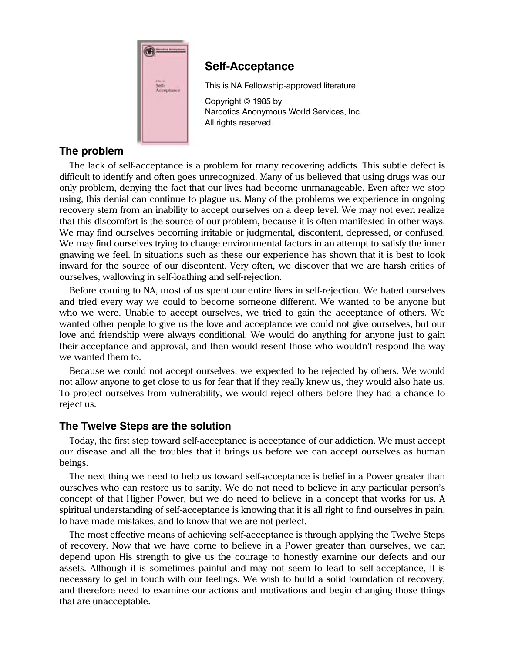

## **Self-Acceptance**

This is NA Fellowship-approved literature.

Copyright © 1985 by Narcotics Anonymous World Services, Inc. All rights reserved.

## **The problem**

The lack of self-acceptance is a problem for many recovering addicts. This subtle defect is difficult to identify and often goes unrecognized. Many of us believed that using drugs was our only problem, denying the fact that our lives had become unmanageable. Even after we stop using, this denial can continue to plague us. Many of the problems we experience in ongoing recovery stem from an inability to accept ourselves on a deep level. We may not even realize that this discomfort is the source of our problem, because it is often manifested in other ways. We may find ourselves becoming irritable or judgmental, discontent, depressed, or confused. We may find ourselves trying to change environmental factors in an attempt to satisfy the inner gnawing we feel. In situations such as these our experience has shown that it is best to look inward for the source of our discontent. Very often, we discover that we are harsh critics of ourselves, wallowing in self-loathing and self-rejection.

Before coming to NA, most of us spent our entire lives in self-rejection. We hated ourselves and tried every way we could to become someone different. We wanted to be anyone but who we were. Unable to accept ourselves, we tried to gain the acceptance of others. We wanted other people to give us the love and acceptance we could not give ourselves, but our love and friendship were always conditional. We would do anything for anyone just to gain their acceptance and approval, and then would resent those who wouldn't respond the way we wanted them to.

Because we could not accept ourselves, we expected to be rejected by others. We would not allow anyone to get close to us for fear that if they really knew us, they would also hate us. To protect ourselves from vulnerability, we would reject others before they had a chance to reject us.

## **The Twelve Steps are the solution**

Today, the first step toward self-acceptance is acceptance of our addiction. We must accept our disease and all the troubles that it brings us before we can accept ourselves as human beings.

The next thing we need to help us toward self-acceptance is belief in a Power greater than ourselves who can restore us to sanity. We do not need to believe in any particular person's concept of that Higher Power, but we do need to believe in a concept that works for us. A spiritual understanding of self-acceptance is knowing that it is all right to find ourselves in pain, to have made mistakes, and to know that we are not perfect.

The most effective means of achieving self-acceptance is through applying the Twelve Steps of recovery. Now that we have come to believe in a Power greater than ourselves, we can depend upon His strength to give us the courage to honestly examine our defects and our assets. Although it is sometimes painful and may not seem to lead to self-acceptance, it is necessary to get in touch with our feelings. We wish to build a solid foundation of recovery, and therefore need to examine our actions and motivations and begin changing those things that are unacceptable.